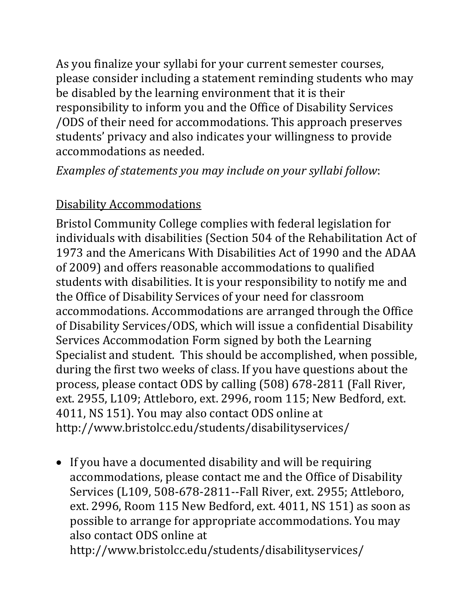As you finalize your syllabi for your current semester courses, please consider including a statement reminding students who may be disabled by the learning environment that it is their responsibility to inform you and the Office of Disability Services /ODS of their need for accommodations. This approach preserves students' privacy and also indicates your willingness to provide accommodations as needed.

*Examples of statements you may include on your syllabi follow*:

## Disability Accommodations

Bristol Community College complies with federal legislation for individuals with disabilities (Section 504 of the Rehabilitation Act of 1973 and the Americans With Disabilities Act of 1990 and the ADAA of 2009) and offers reasonable accommodations to qualified students with disabilities. It is your responsibility to notify me and the Office of Disability Services of your need for classroom accommodations. Accommodations are arranged through the Office of Disability Services/ODS, which will issue a confidential Disability Services Accommodation Form signed by both the Learning Specialist and student. This should be accomplished, when possible, during the first two weeks of class. If you have questions about the process, please contact ODS by calling (508) 678-2811 (Fall River, ext. 2955, L109; Attleboro, ext. 2996, room 115; New Bedford, ext. 4011, NS 151). You may also contact ODS online at http://www.bristolcc.edu/students/disabilityservices/

• If you have a documented disability and will be requiring accommodations, please contact me and the Office of Disability Services (L109, 508-678-2811--Fall River, ext. 2955; Attleboro, ext. 2996, Room 115 New Bedford, ext. 4011, NS 151) as soon as possible to arrange for appropriate accommodations. You may also contact ODS online at

http://www.bristolcc.edu/students/disabilityservices/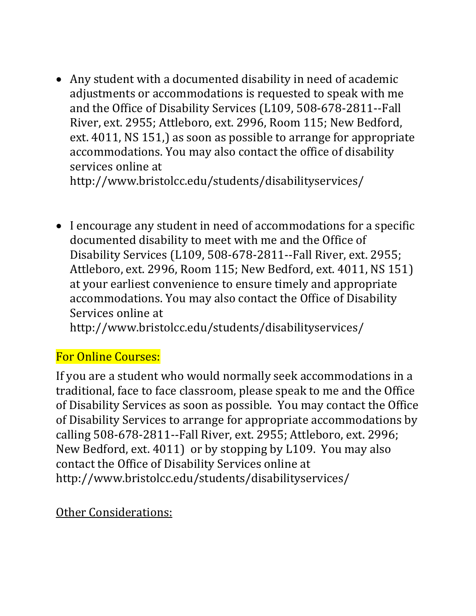Any student with a documented disability in need of academic adjustments or accommodations is requested to speak with me and the Office of Disability Services (L109, 508-678-2811--Fall River, ext. 2955; Attleboro, ext. 2996, Room 115; New Bedford, ext. 4011, NS 151,) as soon as possible to arrange for appropriate accommodations. You may also contact the office of disability services online at

http://www.bristolcc.edu/students/disabilityservices/

 I encourage any student in need of accommodations for a specific documented disability to meet with me and the Office of Disability Services (L109, 508-678-2811--Fall River, ext. 2955; Attleboro, ext. 2996, Room 115; New Bedford, ext. 4011, NS 151) at your earliest convenience to ensure timely and appropriate accommodations. You may also contact the Office of Disability Services online at

http://www.bristolcc.edu/students/disabilityservices/

## For Online Courses:

If you are a student who would normally seek accommodations in a traditional, face to face classroom, please speak to me and the Office of Disability Services as soon as possible. You may contact the Office of Disability Services to arrange for appropriate accommodations by calling 508-678-2811--Fall River, ext. 2955; Attleboro, ext. 2996; New Bedford, ext. 4011) or by stopping by L109. You may also contact the Office of Disability Services online at http://www.bristolcc.edu/students/disabilityservices/

## Other Considerations: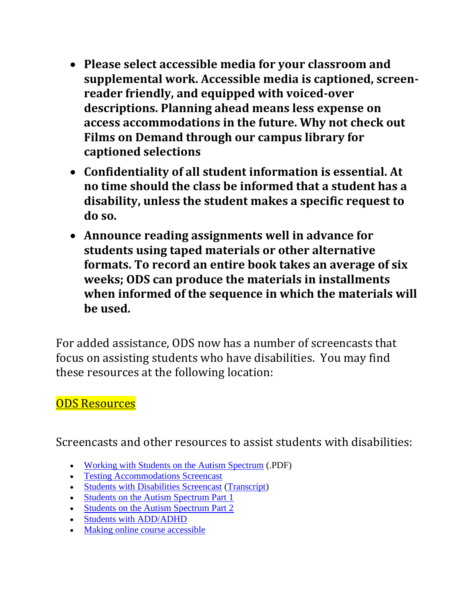- **Please select accessible media for your classroom and supplemental work. Accessible media is captioned, screenreader friendly, and equipped with voiced-over descriptions. Planning ahead means less expense on access accommodations in the future. Why not check out Films on Demand through our campus library for captioned selections**
- **Confidentiality of all student information is essential. At no time should the class be informed that a student has a disability, unless the student makes a specific request to do so.**
- **Announce reading assignments well in advance for students using taped materials or other alternative formats. To record an entire book takes an average of six weeks; ODS can produce the materials in installments when informed of the sequence in which the materials will be used.**

For added assistance, ODS now has a number of screencasts that focus on assisting students who have disabilities. You may find these resources at the following location:

## [ODS Resources](http://www.bristolcc.edu/facultystaff/disabilityservicesforfacultystaff/)

Screencasts and other resources to assist students with disabilities:

- [Working with Students on the Autism Spectrum](http://www.bristolcc.edu/media/bcc-website/students/disabilityservices/forms/WorkingwithAutism.pdf) (.PDF)
- [Testing Accommodations Screencast](http://www.screencast.com/t/F7VTNyvz6hw)
- [Students with Disabilities Screencast](http://www.screencast.com/t/JrS46GxH) [\(Transcript\)](http://www.bristolcc.edu/media/bcc-website/facultystaff/disabilityservices/PPscriptODS.docx)
- [Students on the Autism Spectrum Part 1](http://www.screencast.com/t/PoPPs6suT6)
- [Students on the Autism Spectrum Part 2](http://www.screencast.com/t/BA6XgJMDQ)
- [Students with ADD/ADHD](http://www.screencast.com/t/nT2EabkMe2n)
- [Making online course accessible](http://www.youtube.com/watch?v=F3sdR53ho2g&list=UU8NsdC6bvekxz5GgG9Ns_tA&index=8)